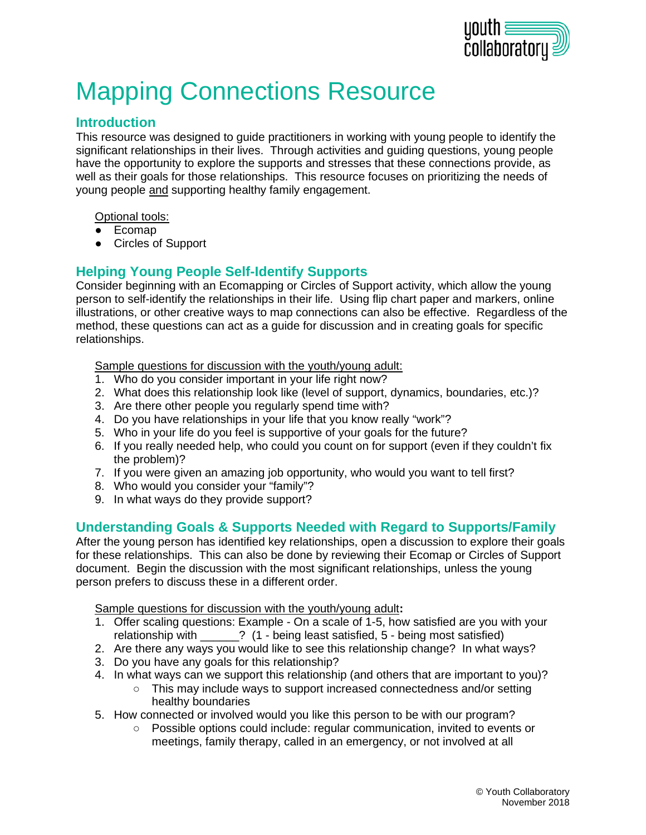

# Mapping Connections Resource

#### **Introduction**

This resource was designed to guide practitioners in working with young people to identify the significant relationships in their lives. Through activities and guiding questions, young people have the opportunity to explore the supports and stresses that these connections provide, as well as their goals for those relationships. This resource focuses on prioritizing the needs of young people and supporting healthy family engagement.

Optional tools:

- Ecomap
- Circles of Support

#### **Helping Young People Self-Identify Supports**

Consider beginning with an Ecomapping or Circles of Support activity, which allow the young person to self-identify the relationships in their life. Using flip chart paper and markers, online illustrations, or other creative ways to map connections can also be effective. Regardless of the method, these questions can act as a guide for discussion and in creating goals for specific relationships.

Sample questions for discussion with the youth/young adult:

- 1. Who do you consider important in your life right now?
- 2. What does this relationship look like (level of support, dynamics, boundaries, etc.)?
- 3. Are there other people you regularly spend time with?
- 4. Do you have relationships in your life that you know really "work"?
- 5. Who in your life do you feel is supportive of your goals for the future?
- 6. If you really needed help, who could you count on for support (even if they couldn't fix the problem)?
- 7. If you were given an amazing job opportunity, who would you want to tell first?
- 8. Who would you consider your "family"?
- 9. In what ways do they provide support?

#### **Understanding Goals & Supports Needed with Regard to Supports/Family**

After the young person has identified key relationships, open a discussion to explore their goals for these relationships. This can also be done by reviewing their Ecomap or Circles of Support document. Begin the discussion with the most significant relationships, unless the young person prefers to discuss these in a different order.

Sample questions for discussion with the youth/young adult**:**

- 1. Offer scaling questions: Example On a scale of 1-5, how satisfied are you with your relationship with \_\_\_\_\_\_? (1 - being least satisfied, 5 - being most satisfied)
- 2. Are there any ways you would like to see this relationship change? In what ways?
- 3. Do you have any goals for this relationship?
- 4. In what ways can we support this relationship (and others that are important to you)?
	- This may include ways to support increased connectedness and/or setting healthy boundaries
- 5. How connected or involved would you like this person to be with our program?
	- Possible options could include: regular communication, invited to events or meetings, family therapy, called in an emergency, or not involved at all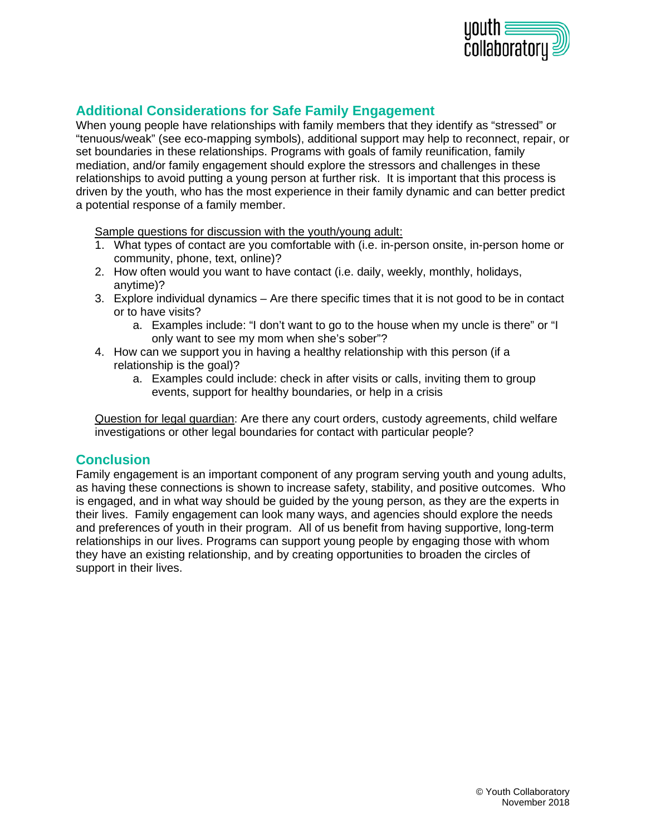

#### **Additional Considerations for Safe Family Engagement**

When young people have relationships with family members that they identify as "stressed" or "tenuous/weak" (see eco-mapping symbols), additional support may help to reconnect, repair, or set boundaries in these relationships. Programs with goals of family reunification, family mediation, and/or family engagement should explore the stressors and challenges in these relationships to avoid putting a young person at further risk. It is important that this process is driven by the youth, who has the most experience in their family dynamic and can better predict a potential response of a family member.

Sample questions for discussion with the youth/young adult:

- 1. What types of contact are you comfortable with (i.e. in-person onsite, in-person home or community, phone, text, online)?
- 2. How often would you want to have contact (i.e. daily, weekly, monthly, holidays, anytime)?
- 3. Explore individual dynamics Are there specific times that it is not good to be in contact or to have visits?
	- a. Examples include: "I don't want to go to the house when my uncle is there" or "I only want to see my mom when she's sober"?
- 4. How can we support you in having a healthy relationship with this person (if a relationship is the goal)?
	- a. Examples could include: check in after visits or calls, inviting them to group events, support for healthy boundaries, or help in a crisis

Question for legal guardian: Are there any court orders, custody agreements, child welfare investigations or other legal boundaries for contact with particular people?

#### **Conclusion**

Family engagement is an important component of any program serving youth and young adults, as having these connections is shown to increase safety, stability, and positive outcomes. Who is engaged, and in what way should be guided by the young person, as they are the experts in their lives. Family engagement can look many ways, and agencies should explore the needs and preferences of youth in their program. All of us benefit from having supportive, long-term relationships in our lives. Programs can support young people by engaging those with whom they have an existing relationship, and by creating opportunities to broaden the circles of support in their lives.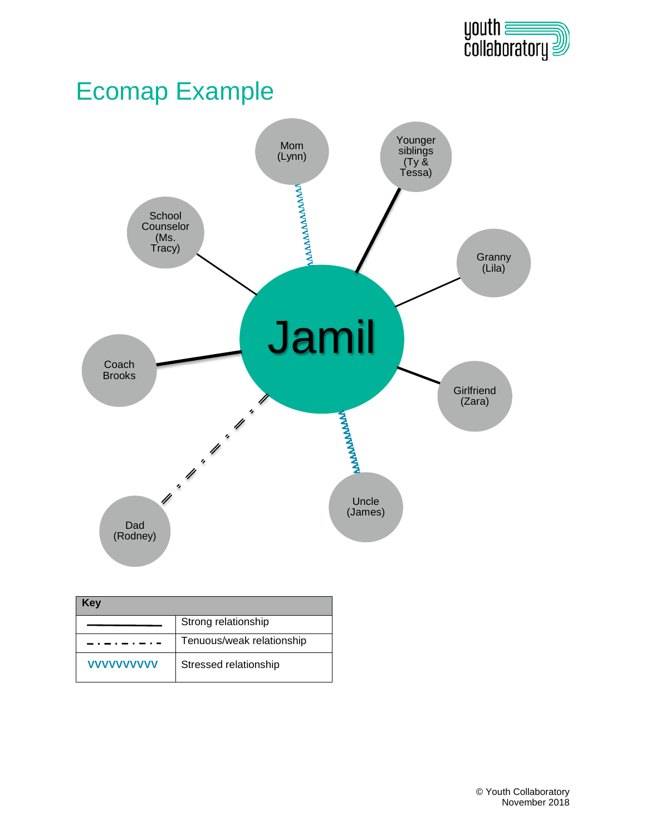

# Ecomap Example



| Kev               |                           |
|-------------------|---------------------------|
|                   | Strong relationship       |
|                   | Tenuous/weak relationship |
| <b>VVVVVVVVVV</b> | Stressed relationship     |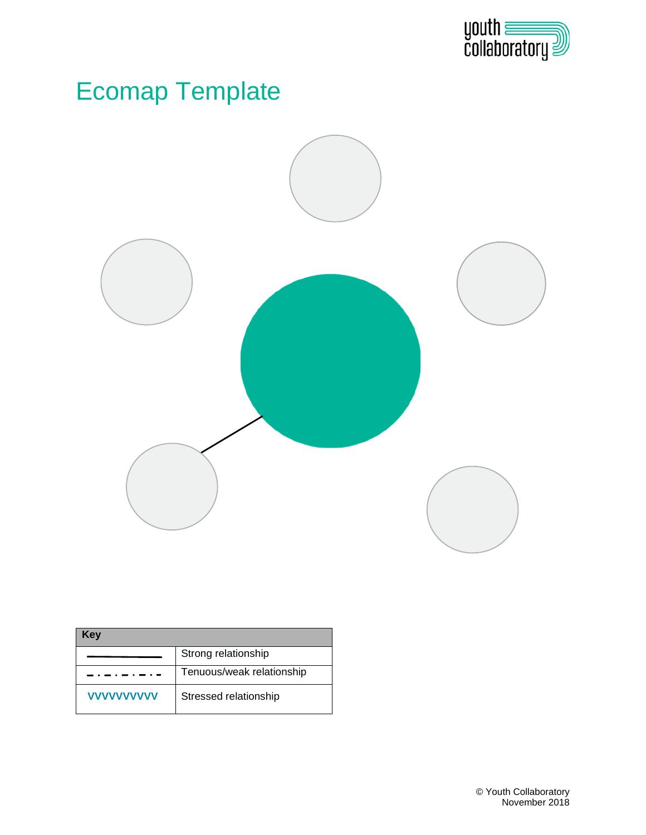

## Ecomap Template



| Kev               |                           |
|-------------------|---------------------------|
|                   | Strong relationship       |
|                   | Tenuous/weak relationship |
| <b>VVVVVVVVVV</b> | Stressed relationship     |